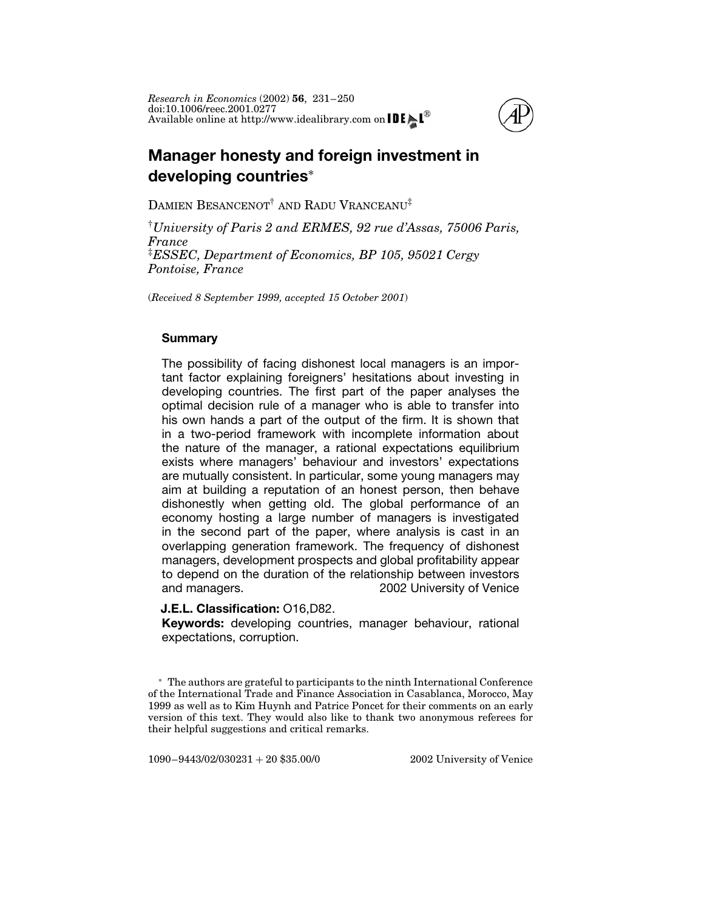

## **Manager honesty and foreign investment in developing countries**<sup>\*</sup>

DAMIEN BESANCENOT<sup>†</sup> AND RADU VRANCEANU<sup>‡</sup>

†*University of Paris 2 and ERMES, 92 rue d'Assas, 75006 Paris, France* ‡*ESSEC, Department of Economics, BP 105, 95021 Cergy Pontoise, France*

(*Received 8 September 1999, accepted 15 October 2001*)

### **Summary**

The possibility of facing dishonest local managers is an important factor explaining foreigners' hesitations about investing in developing countries. The first part of the paper analyses the optimal decision rule of a manager who is able to transfer into his own hands a part of the output of the firm. It is shown that in a two-period framework with incomplete information about the nature of the manager, a rational expectations equilibrium exists where managers' behaviour and investors' expectations are mutually consistent. In particular, some young managers may aim at building a reputation of an honest person, then behave dishonestly when getting old. The global performance of an economy hosting a large number of managers is investigated in the second part of the paper, where analysis is cast in an overlapping generation framework. The frequency of dishonest managers, development prospects and global profitability appear to depend on the duration of the relationship between investors and managers. 2002 University of Venice

#### **J.E.L. Classification:** O16,D82.

**Keywords:** developing countries, manager behaviour, rational expectations, corruption.

 $1090-9443/02/030231+20$ \$35.00/0 © 2002 University of Venice

<sup>Ł</sup> The authors are grateful to participants to the ninth International Conference of the International Trade and Finance Association in Casablanca, Morocco, May 1999 as well as to Kim Huynh and Patrice Poncet for their comments on an early version of this text. They would also like to thank two anonymous referees for their helpful suggestions and critical remarks.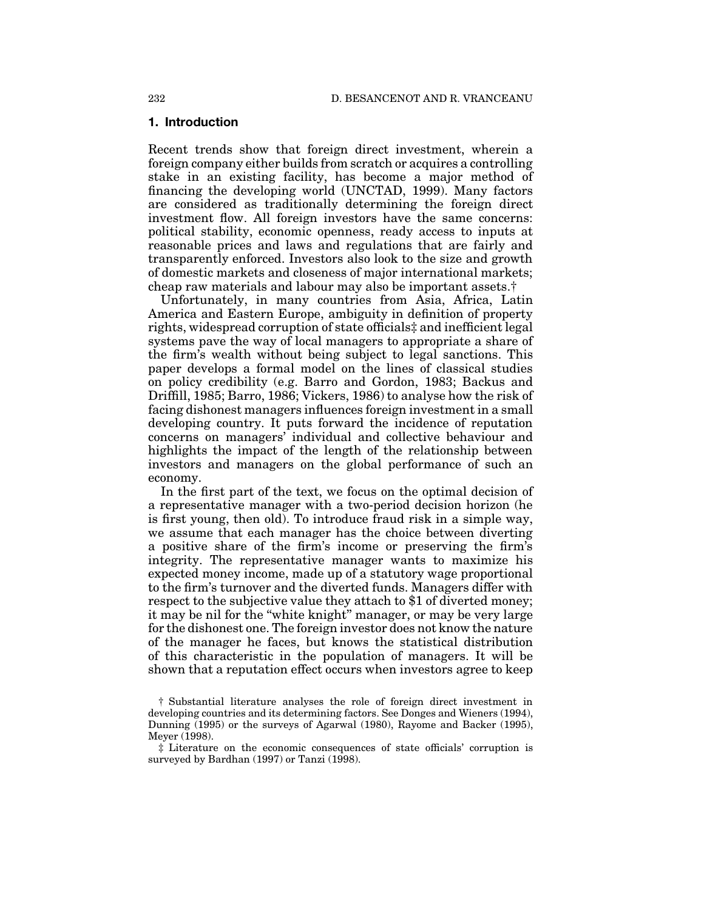#### **1. Introduction**

Recent trends show that foreign direct investment, wherein a foreign company either builds from scratch or acquires a controlling stake in an existing facility, has become a major method of financing the developing world [\(UNCTAD, 1999\)](#page--1-0). Many factors are considered as traditionally determining the foreign direct investment flow. All foreign investors have the same concerns: political stability, economic openness, ready access to inputs at reasonable prices and laws and regulations that are fairly and transparently enforced. Investors also look to the size and growth of domestic markets and closeness of major international markets; cheap raw materials and labour may also be important assets.†

Unfortunately, in many countries from Asia, Africa, Latin America and Eastern Europe, ambiguity in definition of property rights, widespread corruption of state officials‡ and inefficient legal systems pave the way of local managers to appropriate a share of the firm's wealth without being subject to legal sanctions. This paper develops a formal model on the lines of classical studies on policy credibility (e.g. [Barro and Gordon, 1983; Backus and](#page--1-0) [Driffill, 1985; Barro, 1986; Vickers, 1986\)](#page--1-0) to analyse how the risk of facing dishonest managers influences foreign investment in a small developing country. It puts forward the incidence of reputation concerns on managers' individual and collective behaviour and highlights the impact of the length of the relationship between investors and managers on the global performance of such an economy.

In the first part of the text, we focus on the optimal decision of a representative manager with a two-period decision horizon (he is first young, then old). To introduce fraud risk in a simple way, we assume that each manager has the choice between diverting a positive share of the firm's income or preserving the firm's integrity. The representative manager wants to maximize his expected money income, made up of a statutory wage proportional to the firm's turnover and the diverted funds. Managers differ with respect to the subjective value they attach to \$1 of diverted money; it may be nil for the ''white knight'' manager, or may be very large for the dishonest one. The foreign investor does not know the nature of the manager he faces, but knows the statistical distribution of this characteristic in the population of managers. It will be shown that a reputation effect occurs when investors agree to keep

<sup>†</sup> Substantial literature analyses the role of foreign direct investment in developing countries and its determining factors. See [Donges and Wieners \(1994\),](#page--1-0) [Dunning \(1995\)](#page--1-0) or the surveys of [Agarwal \(1980\), Rayome and Backer \(1995\),](#page--1-0) [Meyer \(1998\).](#page--1-0)

<sup>‡</sup> Literature on the economic consequences of state officials' corruption is surveyed by [Bardhan \(1997\) o](#page--1-0)r [Tanzi \(1998\).](#page--1-0)